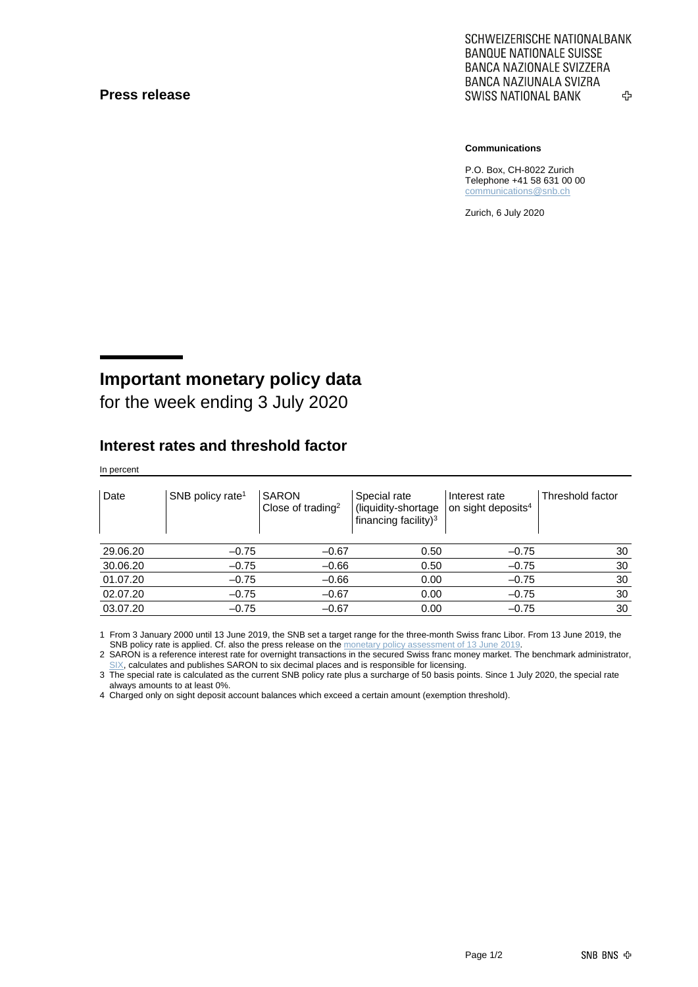#### **Press release**

SCHWEIZERISCHE NATIONALBANK **BANQUE NATIONALE SUISSE BANCA NAZIONALE SVIZZERA** BANCA NAZIUNALA SVIZRA **SWISS NATIONAL BANK** ኇ

#### **Communications**

P.O. Box, CH-8022 Zurich Telephone +41 58 631 00 00 [communications@snb.ch](mailto:communications@snb.ch)

Zurich, 6 July 2020

# **Important monetary policy data**

for the week ending 3 July 2020

### **Interest rates and threshold factor**

In percent

| Date     | SNB policy rate <sup>1</sup> | <b>SARON</b><br>Close of trading <sup>2</sup> | Special rate<br>(liquidity-shortage<br>financing facility) <sup>3</sup> | Interest rate<br>on sight deposits <sup>4</sup> | Threshold factor |
|----------|------------------------------|-----------------------------------------------|-------------------------------------------------------------------------|-------------------------------------------------|------------------|
| 29.06.20 | $-0.75$                      | $-0.67$                                       | 0.50                                                                    | $-0.75$                                         | 30               |
| 30.06.20 | $-0.75$                      | $-0.66$                                       | 0.50                                                                    | $-0.75$                                         | 30               |
| 01.07.20 | $-0.75$                      | $-0.66$                                       | 0.00                                                                    | $-0.75$                                         | 30               |
| 02.07.20 | $-0.75$                      | $-0.67$                                       | 0.00                                                                    | $-0.75$                                         | 30               |
| 03.07.20 | $-0.75$                      | $-0.67$                                       | 0.00                                                                    | $-0.75$                                         | 30               |

1 From 3 January 2000 until 13 June 2019, the SNB set a target range for the three-month Swiss franc Libor. From 13 June 2019, the SNB policy rate is applied. Cf. also the press release on th[e monetary policy assessment of 13](https://www.snb.ch/en/mmr/reference/pre_20190613/source/pre_20190613.en.pdf) June 201

2 SARON is a reference interest rate for overnight transactions in the secured Swiss franc money market. The benchmark administrator, [SIX,](https://www.six-group.com/exchanges/indices/data_centre/swiss_reference_rates/reference_rates_en.html) calculates and publishes SARON to six decimal places and is responsible for licensing.

3 The special rate is calculated as the current SNB policy rate plus a surcharge of 50 basis points. Since 1 July 2020, the special rate always amounts to at least 0%.

4 Charged only on sight deposit account balances which exceed a certain amount (exemption threshold).